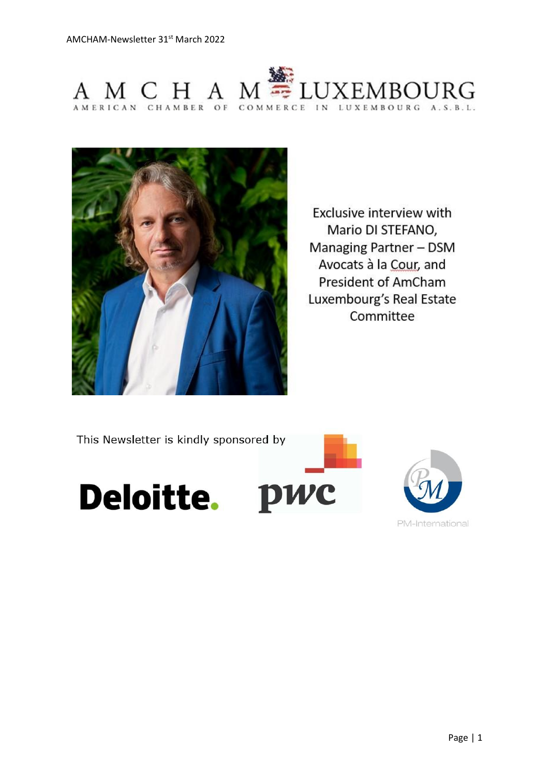



Exclusive interview with Mario DI STEFANO, Managing Partner - DSM Avocats à la Cour, and President of AmCham Luxembourg's Real Estate Committee

This Newsletter is kindly sponsored by





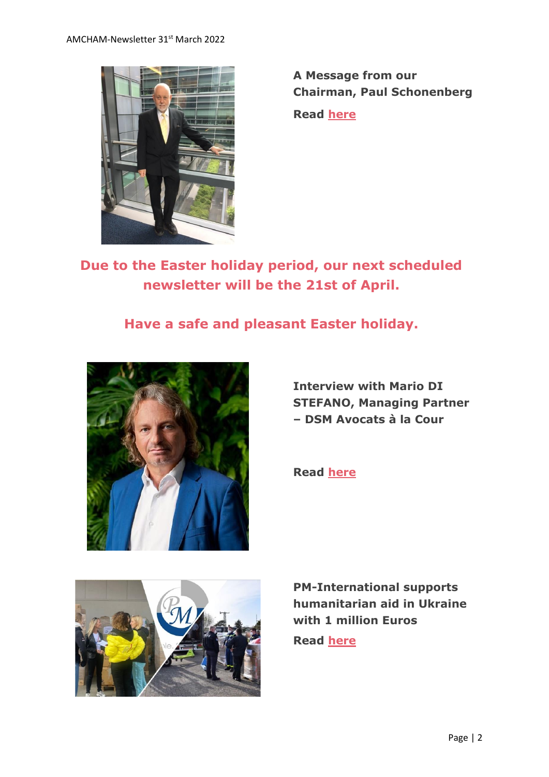

**A Message from our Chairman, Paul Schonenberg**

**Read [here](https://send.lola.lu/t/d-l-fphkhk-tdxlhyduy-r/)**

**Due to the Easter holiday period, our next scheduled newsletter will be the 21st of April.**

# **Have a safe and pleasant Easter holiday.**



**Interview with Mario DI STEFANO, Managing Partner – DSM Avocats à la Cour**

**Read [here](https://send.lola.lu/t/d-l-fphkhk-tdxlhyduy-y/)**



**PM-International supports humanitarian aid in Ukraine with 1 million Euros**

**Read [here](https://send.lola.lu/t/d-l-fphkhk-tdxlhyduy-j/)**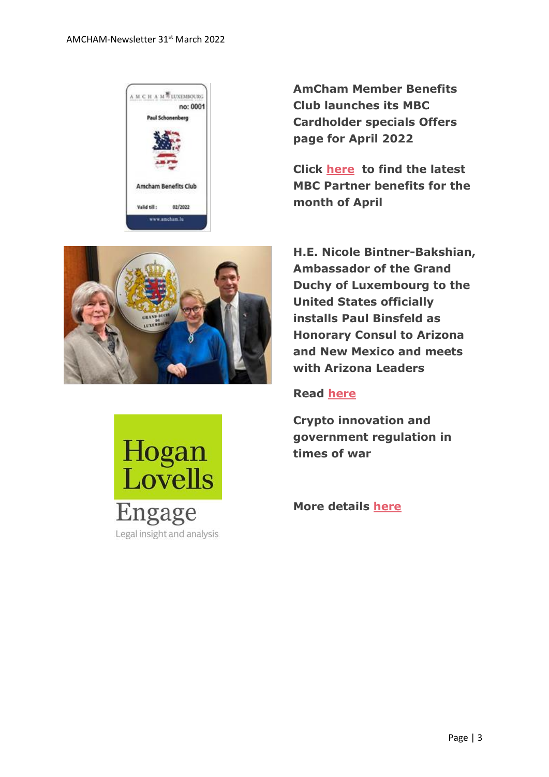

**AmCham Member Benefits Club launches its MBC Cardholder specials Offers page for April 2022**

**Click [here](https://send.lola.lu/t/d-l-fphkhk-tdxlhyduy-t/) to find the latest MBC Partner benefits for the month of April**





**H.E. Nicole Bintner-Bakshian, Ambassador of the Grand Duchy of Luxembourg to the United States officially installs Paul Binsfeld as Honorary Consul to Arizona and New Mexico and meets with Arizona Leaders**

#### **Read [here](https://send.lola.lu/t/d-l-fphkhk-tdxlhyduy-i/)**

**Crypto innovation and government regulation in times of war**

**More details [here](https://send.lola.lu/t/d-l-fphkhk-tdxlhyduy-d/)**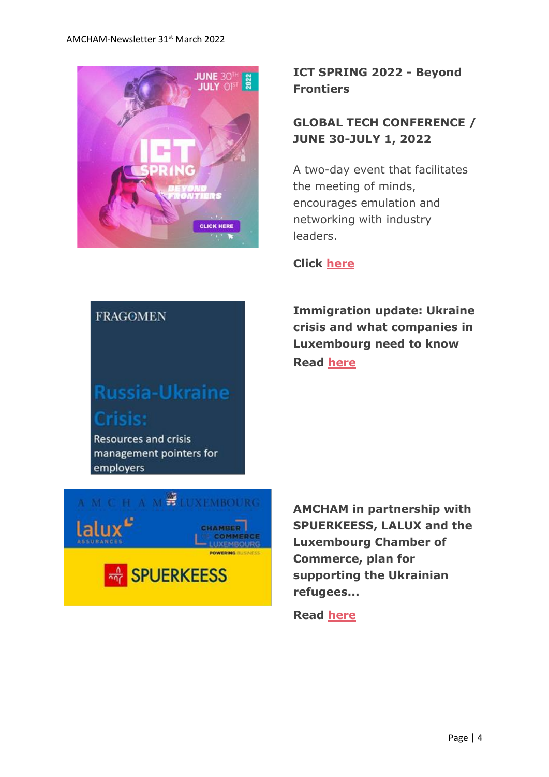

## **ICT SPRING 2022 - Beyond Frontiers**

## **GLOBAL TECH CONFERENCE / JUNE 30-JULY 1, 2022**

A two-day event that facilitates the meeting of minds, encourages emulation and networking with industry leaders.

#### **Click [here](https://send.lola.lu/t/d-l-fphkhk-tdxlhyduy-h/)**

**Immigration update: Ukraine crisis and what companies in Luxembourg need to know Read [here](https://send.lola.lu/t/d-l-fphkhk-tdxlhyduy-k/)**

# **FRAGOMEN**

# **Russia-Ukraine Crisis:**

**Resources and crisis** management pointers for employers



**AMCHAM in partnership with SPUERKEESS, LALUX and the Luxembourg Chamber of Commerce, plan for supporting the Ukrainian refugees...**

**Read [here](https://send.lola.lu/t/d-l-fphkhk-tdxlhyduy-u/)**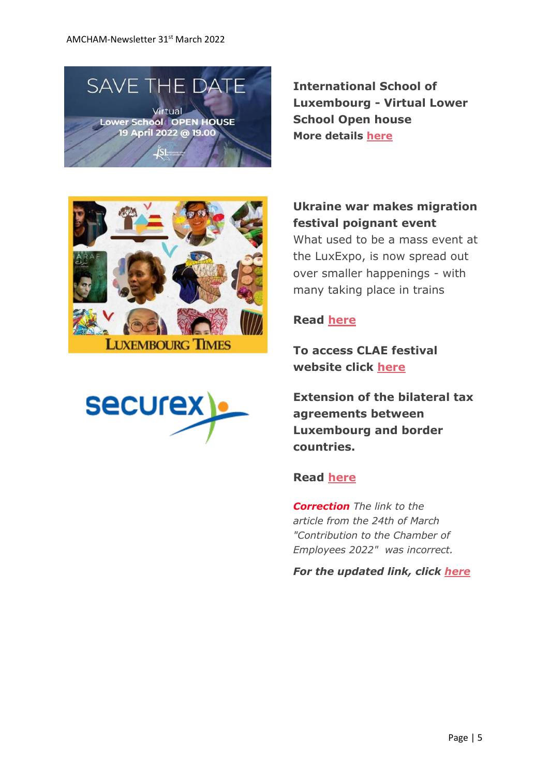

**International School of Luxembourg - Virtual Lower School Open house More details [here](https://send.lola.lu/t/d-l-fphkhk-tdxlhyduy-o/)**





#### **Ukraine war makes migration festival poignant event**

What used to be a mass event at the LuxExpo, is now spread out over smaller happenings - with many taking place in trains

#### **Read [h](https://send.lola.lu/t/d-l-fphkhk-tdxlhyduy-b/)[ere](https://send.lola.lu/t/d-l-fphkhk-tdxlhyduy-n/)**

**To access CLAE festival website click [here](https://send.lola.lu/t/d-l-fphkhk-tdxlhyduy-p/)**

**Extension of the bilateral tax agreements between Luxembourg and border countries.**

#### **Read [here](https://send.lola.lu/t/d-l-fphkhk-tdxlhyduy-x/)**

*Correction The link to the article from the 24th of March "Contribution to the Chamber of Employees 2022" was incorrect.*

*For the updated link, click [here](https://send.lola.lu/t/d-l-fphkhk-tdxlhyduy-m/)*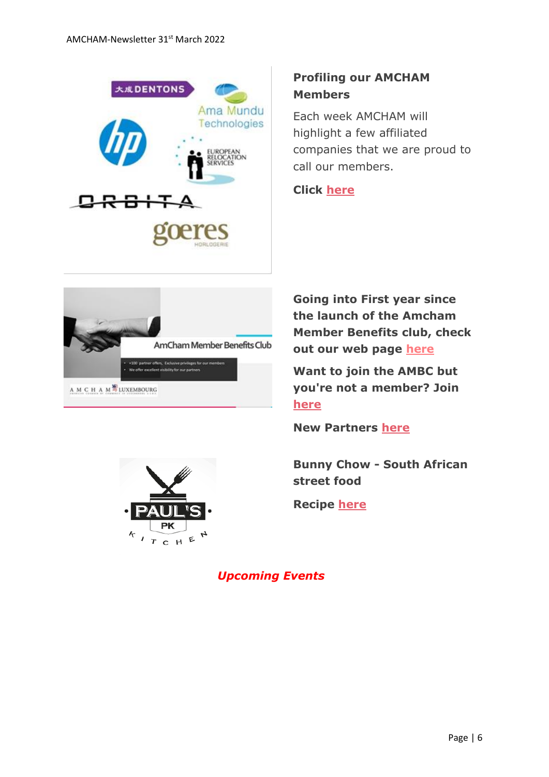

## **Profiling our AMCHAM Members**

Each week AMCHAM will highlight a few affiliated companies that we are proud to call our members.

#### **Click [here](https://send.lola.lu/t/d-l-fphkhk-tdxlhyduy-c/)**



 $CHE$ 

**Going into First year since the launch of the Amcham Member Benefits club, check out our web page [here](https://www.amcham.lu/amcham-benefits-club/)**

**Want to join the AMBC but you're not a member? Join [here](https://www.amcham.lu/amcham-benefits-club/ambc-card-for-non-members/)**

**New Partners [here](https://send.lola.lu/t/d-l-fphkhk-tdxlhyduy-f/)**

**Bunny Chow - South African street food**

**Recipe [here](https://send.lola.lu/t/d-l-fphkhk-tdxlhyduy-z/)**

*Upcoming Events*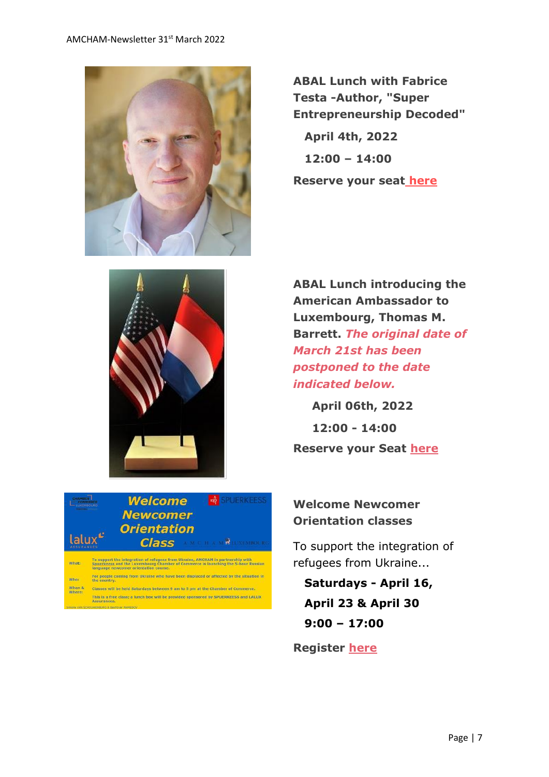

**ABAL Lunch with Fabrice Testa -Author, "Super Entrepreneurship Decoded" April 4th, 2022 12:00 – 14:00 Reserve your seat [here](https://www.amcham.lu/events/abal-lunch-with-fabrice-testa/)**



**ABAL Lunch introducing the American Ambassador to Luxembourg, Thomas M. Barrett.** *The original date of March 21st has been postponed to the date indicated below.*

**April 06th, 2022 12:00 - 14:00 Reserve your Seat [here](https://send.lola.lu/t/d-l-fouuo-tdxlhyduy-a/)**

#### **Welcome Newcomer Orientation classes**

To support the integration of refugees from Ukraine...

 **Saturdays - April 16, April 23 & April 30 9:00 – 17:00**

**Register [here](https://send.lola.lu/t/d-l-fouuo-tdxlhyduy-f/)**

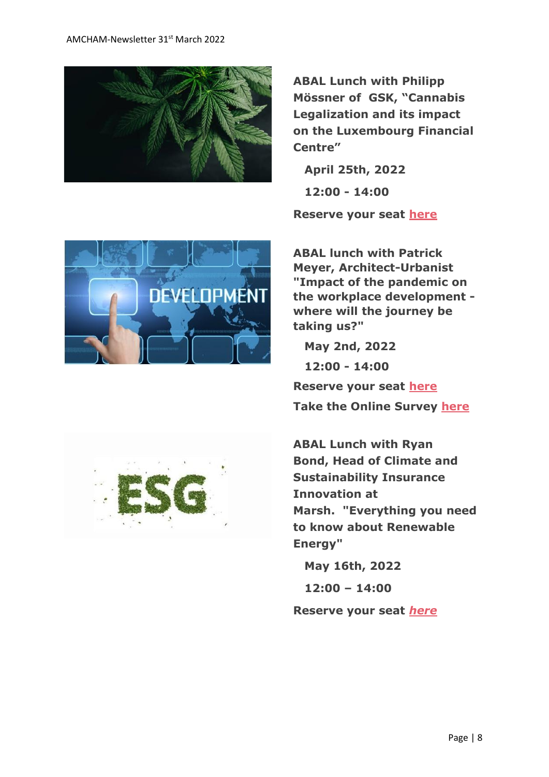

**ABAL Lunch with Philipp Mössner of GSK, "Cannabis Legalization and its impact on the Luxembourg Financial Centre"**

 **April 25th, 2022 12:00 - 14:00**

**Reserve your seat [h](https://send.lola.lu/t/d-l-flkluhk-tdxlhyduy-s/)[ere](https://send.lola.lu/t/d-l-flkluhk-tdxlhyduy-g/)**



**ABAL lunch with Patrick Meyer, Architect-Urbanist "Impact of the pandemic on the workplace development where will the journey be taking us?"**

 **May 2nd, 2022**

 **12:00 - 14:00**

**Reserve your seat [here](https://send.lola.lu/t/d-l-flkluhk-tdxlhyduy-w/) Take the Online Survey [here](https://send.lola.lu/t/d-l-flkluhk-tdxlhyduy-jl/)**

**ABAL Lunch with Ryan Bond, Head of Climate and Sustainability Insurance Innovation at Marsh. "Everything you need to know about Renewable Energy"**

 **May 16th, 2022**

 **12:00 – 14:00**

**Reserve your seat** *[here](https://send.lola.lu/t/d-l-flkluhk-tdxlhyduy-jr/)*